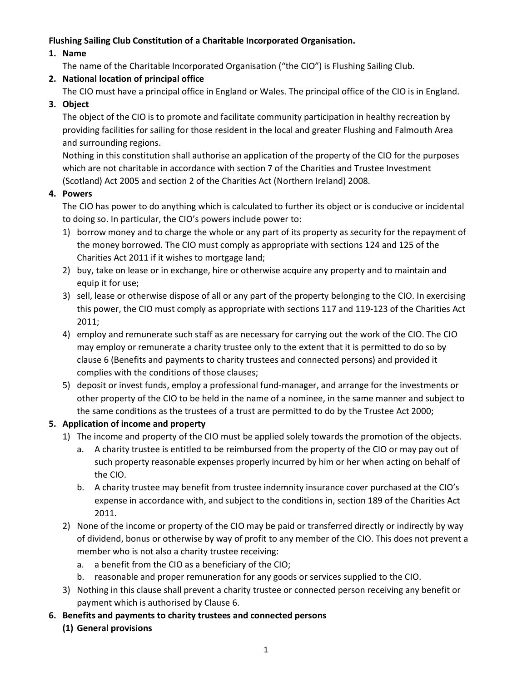# Flushing Sailing Club Constitution of a Charitable Incorporated Organisation.

# 1. Name

The name of the Charitable Incorporated Organisation ("the CIO") is Flushing Sailing Club.

# 2. National location of principal office

The CIO must have a principal office in England or Wales. The principal office of the CIO is in England.

# 3. Object

The object of the CIO is to promote and facilitate community participation in healthy recreation by providing facilities for sailing for those resident in the local and greater Flushing and Falmouth Area and surrounding regions.

Nothing in this constitution shall authorise an application of the property of the CIO for the purposes which are not charitable in accordance with section 7 of the Charities and Trustee Investment (Scotland) Act 2005 and section 2 of the Charities Act (Northern Ireland) 2008.

# 4. Powers

The CIO has power to do anything which is calculated to further its object or is conducive or incidental to doing so. In particular, the CIO's powers include power to:

- 1) borrow money and to charge the whole or any part of its property as security for the repayment of the money borrowed. The CIO must comply as appropriate with sections 124 and 125 of the Charities Act 2011 if it wishes to mortgage land;
- 2) buy, take on lease or in exchange, hire or otherwise acquire any property and to maintain and equip it for use;
- 3) sell, lease or otherwise dispose of all or any part of the property belonging to the CIO. In exercising this power, the CIO must comply as appropriate with sections 117 and 119-123 of the Charities Act 2011;
- 4) employ and remunerate such staff as are necessary for carrying out the work of the CIO. The CIO may employ or remunerate a charity trustee only to the extent that it is permitted to do so by clause 6 (Benefits and payments to charity trustees and connected persons) and provided it complies with the conditions of those clauses;
- 5) deposit or invest funds, employ a professional fund-manager, and arrange for the investments or other property of the CIO to be held in the name of a nominee, in the same manner and subject to the same conditions as the trustees of a trust are permitted to do by the Trustee Act 2000;

# 5. Application of income and property

- 1) The income and property of the CIO must be applied solely towards the promotion of the objects.
	- a. A charity trustee is entitled to be reimbursed from the property of the CIO or may pay out of such property reasonable expenses properly incurred by him or her when acting on behalf of the CIO.
	- b. A charity trustee may benefit from trustee indemnity insurance cover purchased at the CIO's expense in accordance with, and subject to the conditions in, section 189 of the Charities Act 2011.
- 2) None of the income or property of the CIO may be paid or transferred directly or indirectly by way of dividend, bonus or otherwise by way of profit to any member of the CIO. This does not prevent a member who is not also a charity trustee receiving:
	- a. a benefit from the CIO as a beneficiary of the CIO;
	- b. reasonable and proper remuneration for any goods or services supplied to the CIO.
- 3) Nothing in this clause shall prevent a charity trustee or connected person receiving any benefit or payment which is authorised by Clause 6.
- 6. Benefits and payments to charity trustees and connected persons
	- (1) General provisions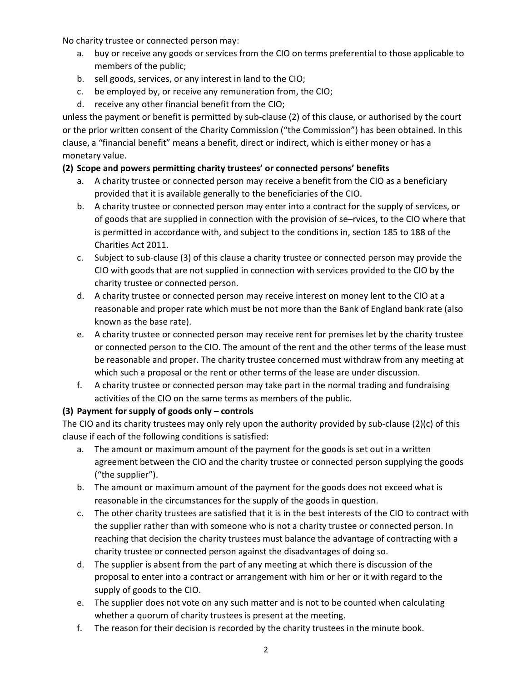No charity trustee or connected person may:

- a. buy or receive any goods or services from the CIO on terms preferential to those applicable to members of the public;
- b. sell goods, services, or any interest in land to the CIO;
- c. be employed by, or receive any remuneration from, the CIO;
- d. receive any other financial benefit from the CIO;

unless the payment or benefit is permitted by sub-clause (2) of this clause, or authorised by the court or the prior written consent of the Charity Commission ("the Commission") has been obtained. In this clause, a "financial benefit" means a benefit, direct or indirect, which is either money or has a monetary value.

## (2) Scope and powers permitting charity trustees' or connected persons' benefits

- a. A charity trustee or connected person may receive a benefit from the CIO as a beneficiary provided that it is available generally to the beneficiaries of the CIO.
- b. A charity trustee or connected person may enter into a contract for the supply of services, or of goods that are supplied in connection with the provision of se–rvices, to the CIO where that is permitted in accordance with, and subject to the conditions in, section 185 to 188 of the Charities Act 2011.
- c. Subject to sub-clause (3) of this clause a charity trustee or connected person may provide the CIO with goods that are not supplied in connection with services provided to the CIO by the charity trustee or connected person.
- d. A charity trustee or connected person may receive interest on money lent to the CIO at a reasonable and proper rate which must be not more than the Bank of England bank rate (also known as the base rate).
- e. A charity trustee or connected person may receive rent for premises let by the charity trustee or connected person to the CIO. The amount of the rent and the other terms of the lease must be reasonable and proper. The charity trustee concerned must withdraw from any meeting at which such a proposal or the rent or other terms of the lease are under discussion.
- f. A charity trustee or connected person may take part in the normal trading and fundraising activities of the CIO on the same terms as members of the public.

### (3) Payment for supply of goods only – controls

The CIO and its charity trustees may only rely upon the authority provided by sub-clause (2)(c) of this clause if each of the following conditions is satisfied:

- a. The amount or maximum amount of the payment for the goods is set out in a written agreement between the CIO and the charity trustee or connected person supplying the goods ("the supplier").
- b. The amount or maximum amount of the payment for the goods does not exceed what is reasonable in the circumstances for the supply of the goods in question.
- c. The other charity trustees are satisfied that it is in the best interests of the CIO to contract with the supplier rather than with someone who is not a charity trustee or connected person. In reaching that decision the charity trustees must balance the advantage of contracting with a charity trustee or connected person against the disadvantages of doing so.
- d. The supplier is absent from the part of any meeting at which there is discussion of the proposal to enter into a contract or arrangement with him or her or it with regard to the supply of goods to the CIO.
- e. The supplier does not vote on any such matter and is not to be counted when calculating whether a quorum of charity trustees is present at the meeting.
- f. The reason for their decision is recorded by the charity trustees in the minute book.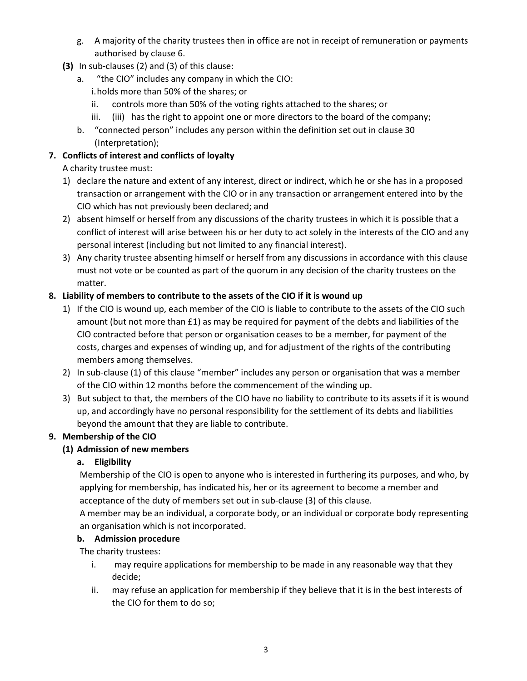- g. A majority of the charity trustees then in office are not in receipt of remuneration or payments authorised by clause 6.
- (3) In sub-clauses (2) and (3) of this clause:
	- a. "the CIO" includes any company in which the CIO: i.holds more than 50% of the shares; or
		- ii. controls more than 50% of the voting rights attached to the shares; or
		- iii. (iii) has the right to appoint one or more directors to the board of the company;
	- b. "connected person" includes any person within the definition set out in clause 30 (Interpretation);

# 7. Conflicts of interest and conflicts of loyalty

# A charity trustee must:

- 1) declare the nature and extent of any interest, direct or indirect, which he or she has in a proposed transaction or arrangement with the CIO or in any transaction or arrangement entered into by the CIO which has not previously been declared; and
- 2) absent himself or herself from any discussions of the charity trustees in which it is possible that a conflict of interest will arise between his or her duty to act solely in the interests of the CIO and any personal interest (including but not limited to any financial interest).
- 3) Any charity trustee absenting himself or herself from any discussions in accordance with this clause must not vote or be counted as part of the quorum in any decision of the charity trustees on the matter.

# 8. Liability of members to contribute to the assets of the CIO if it is wound up

- 1) If the CIO is wound up, each member of the CIO is liable to contribute to the assets of the CIO such amount (but not more than £1) as may be required for payment of the debts and liabilities of the CIO contracted before that person or organisation ceases to be a member, for payment of the costs, charges and expenses of winding up, and for adjustment of the rights of the contributing members among themselves.
- 2) In sub-clause (1) of this clause "member" includes any person or organisation that was a member of the CIO within 12 months before the commencement of the winding up.
- 3) But subject to that, the members of the CIO have no liability to contribute to its assets if it is wound up, and accordingly have no personal responsibility for the settlement of its debts and liabilities beyond the amount that they are liable to contribute.

# 9. Membership of the CIO

# (1) Admission of new members

# a. Eligibility

Membership of the CIO is open to anyone who is interested in furthering its purposes, and who, by applying for membership, has indicated his, her or its agreement to become a member and acceptance of the duty of members set out in sub-clause (3) of this clause.

A member may be an individual, a corporate body, or an individual or corporate body representing an organisation which is not incorporated.

# b. Admission procedure

# The charity trustees:

- i. may require applications for membership to be made in any reasonable way that they decide;
- ii. may refuse an application for membership if they believe that it is in the best interests of the CIO for them to do so;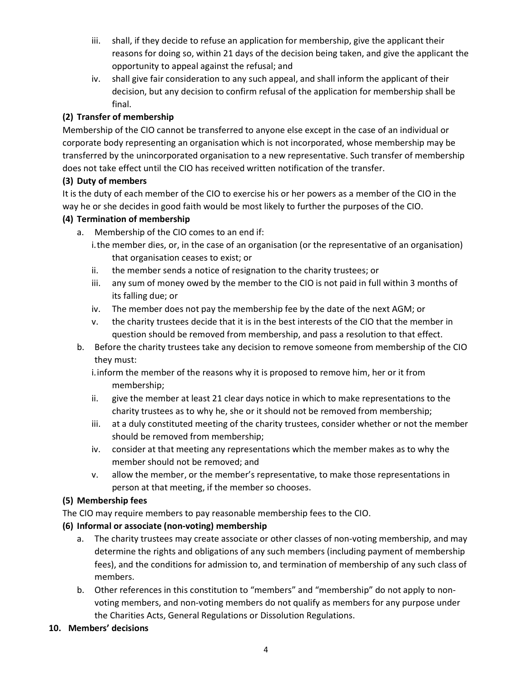- iii. shall, if they decide to refuse an application for membership, give the applicant their reasons for doing so, within 21 days of the decision being taken, and give the applicant the opportunity to appeal against the refusal; and
- iv. shall give fair consideration to any such appeal, and shall inform the applicant of their decision, but any decision to confirm refusal of the application for membership shall be final.

# (2) Transfer of membership

Membership of the CIO cannot be transferred to anyone else except in the case of an individual or corporate body representing an organisation which is not incorporated, whose membership may be transferred by the unincorporated organisation to a new representative. Such transfer of membership does not take effect until the CIO has received written notification of the transfer.

# (3) Duty of members

It is the duty of each member of the CIO to exercise his or her powers as a member of the CIO in the way he or she decides in good faith would be most likely to further the purposes of the CIO.

## (4) Termination of membership

- a. Membership of the CIO comes to an end if:
	- i.the member dies, or, in the case of an organisation (or the representative of an organisation) that organisation ceases to exist; or
	- ii. the member sends a notice of resignation to the charity trustees; or
	- iii. any sum of money owed by the member to the CIO is not paid in full within 3 months of its falling due; or
	- iv. The member does not pay the membership fee by the date of the next AGM; or
	- v. the charity trustees decide that it is in the best interests of the CIO that the member in question should be removed from membership, and pass a resolution to that effect.
- b. Before the charity trustees take any decision to remove someone from membership of the CIO they must:

i.inform the member of the reasons why it is proposed to remove him, her or it from membership;

- ii. give the member at least 21 clear days notice in which to make representations to the charity trustees as to why he, she or it should not be removed from membership;
- iii. at a duly constituted meeting of the charity trustees, consider whether or not the member should be removed from membership;
- iv. consider at that meeting any representations which the member makes as to why the member should not be removed; and
- v. allow the member, or the member's representative, to make those representations in person at that meeting, if the member so chooses.

# (5) Membership fees

The CIO may require members to pay reasonable membership fees to the CIO.

# (6) Informal or associate (non-voting) membership

- a. The charity trustees may create associate or other classes of non-voting membership, and may determine the rights and obligations of any such members (including payment of membership fees), and the conditions for admission to, and termination of membership of any such class of members.
- b. Other references in this constitution to "members" and "membership" do not apply to nonvoting members, and non-voting members do not qualify as members for any purpose under the Charities Acts, General Regulations or Dissolution Regulations.

# 10. Members' decisions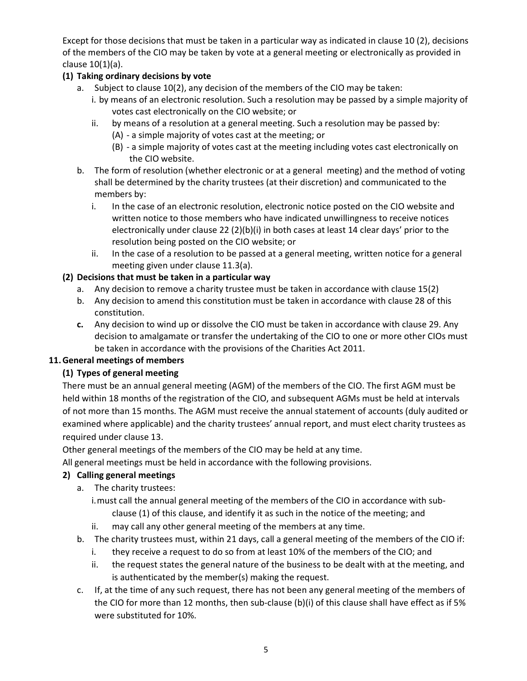Except for those decisions that must be taken in a particular way as indicated in clause 10 (2), decisions of the members of the CIO may be taken by vote at a general meeting or electronically as provided in clause 10(1)(a).

# (1) Taking ordinary decisions by vote

- a. Subject to clause 10(2), any decision of the members of the CIO may be taken:
	- i. by means of an electronic resolution. Such a resolution may be passed by a simple majority of votes cast electronically on the CIO website; or
	- ii. by means of a resolution at a general meeting. Such a resolution may be passed by:
		- (A) a simple majority of votes cast at the meeting; or
			- (B) a simple majority of votes cast at the meeting including votes cast electronically on the CIO website.
- b. The form of resolution (whether electronic or at a general meeting) and the method of voting shall be determined by the charity trustees (at their discretion) and communicated to the members by:
	- i. In the case of an electronic resolution, electronic notice posted on the CIO website and written notice to those members who have indicated unwillingness to receive notices electronically under clause 22  $(2)(b)(i)$  in both cases at least 14 clear days' prior to the resolution being posted on the CIO website; or
	- ii. In the case of a resolution to be passed at a general meeting, written notice for a general meeting given under clause 11.3(a).

# (2) Decisions that must be taken in a particular way

- a. Any decision to remove a charity trustee must be taken in accordance with clause 15(2)
- b. Any decision to amend this constitution must be taken in accordance with clause 28 of this constitution.
- c. Any decision to wind up or dissolve the CIO must be taken in accordance with clause 29. Any decision to amalgamate or transfer the undertaking of the CIO to one or more other CIOs must be taken in accordance with the provisions of the Charities Act 2011.

# 11.General meetings of members

# (1) Types of general meeting

There must be an annual general meeting (AGM) of the members of the CIO. The first AGM must be held within 18 months of the registration of the CIO, and subsequent AGMs must be held at intervals of not more than 15 months. The AGM must receive the annual statement of accounts (duly audited or examined where applicable) and the charity trustees' annual report, and must elect charity trustees as required under clause 13.

Other general meetings of the members of the CIO may be held at any time.

All general meetings must be held in accordance with the following provisions.

# 2) Calling general meetings

- a. The charity trustees:
	- i.must call the annual general meeting of the members of the CIO in accordance with subclause (1) of this clause, and identify it as such in the notice of the meeting; and
	- ii. may call any other general meeting of the members at any time.
- b. The charity trustees must, within 21 days, call a general meeting of the members of the CIO if:
	- i. they receive a request to do so from at least 10% of the members of the CIO; and
	- ii. the request states the general nature of the business to be dealt with at the meeting, and is authenticated by the member(s) making the request.
- c. If, at the time of any such request, there has not been any general meeting of the members of the CIO for more than 12 months, then sub-clause (b)(i) of this clause shall have effect as if 5% were substituted for 10%.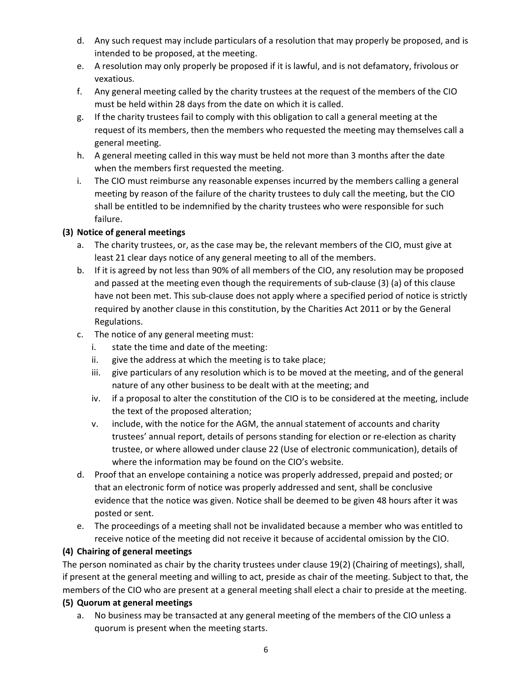- d. Any such request may include particulars of a resolution that may properly be proposed, and is intended to be proposed, at the meeting.
- e. A resolution may only properly be proposed if it is lawful, and is not defamatory, frivolous or vexatious.
- f. Any general meeting called by the charity trustees at the request of the members of the CIO must be held within 28 days from the date on which it is called.
- g. If the charity trustees fail to comply with this obligation to call a general meeting at the request of its members, then the members who requested the meeting may themselves call a general meeting.
- h. A general meeting called in this way must be held not more than 3 months after the date when the members first requested the meeting.
- i. The CIO must reimburse any reasonable expenses incurred by the members calling a general meeting by reason of the failure of the charity trustees to duly call the meeting, but the CIO shall be entitled to be indemnified by the charity trustees who were responsible for such failure.

# (3) Notice of general meetings

- a. The charity trustees, or, as the case may be, the relevant members of the CIO, must give at least 21 clear days notice of any general meeting to all of the members.
- b. If it is agreed by not less than 90% of all members of the CIO, any resolution may be proposed and passed at the meeting even though the requirements of sub-clause (3) (a) of this clause have not been met. This sub-clause does not apply where a specified period of notice is strictly required by another clause in this constitution, by the Charities Act 2011 or by the General Regulations.
- c. The notice of any general meeting must:
	- i. state the time and date of the meeting:
	- ii. give the address at which the meeting is to take place;
	- iii. give particulars of any resolution which is to be moved at the meeting, and of the general nature of any other business to be dealt with at the meeting; and
	- iv. if a proposal to alter the constitution of the CIO is to be considered at the meeting, include the text of the proposed alteration;
	- v. include, with the notice for the AGM, the annual statement of accounts and charity trustees' annual report, details of persons standing for election or re-election as charity trustee, or where allowed under clause 22 (Use of electronic communication), details of where the information may be found on the CIO's website.
- d. Proof that an envelope containing a notice was properly addressed, prepaid and posted; or that an electronic form of notice was properly addressed and sent, shall be conclusive evidence that the notice was given. Notice shall be deemed to be given 48 hours after it was posted or sent.
- e. The proceedings of a meeting shall not be invalidated because a member who was entitled to receive notice of the meeting did not receive it because of accidental omission by the CIO.

# (4) Chairing of general meetings

The person nominated as chair by the charity trustees under clause 19(2) (Chairing of meetings), shall, if present at the general meeting and willing to act, preside as chair of the meeting. Subject to that, the members of the CIO who are present at a general meeting shall elect a chair to preside at the meeting.

# (5) Quorum at general meetings

a. No business may be transacted at any general meeting of the members of the CIO unless a quorum is present when the meeting starts.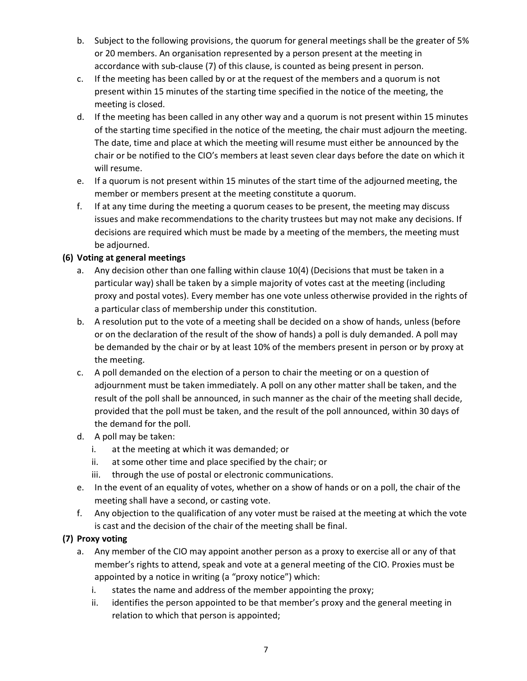- b. Subject to the following provisions, the quorum for general meetings shall be the greater of 5% or 20 members. An organisation represented by a person present at the meeting in accordance with sub-clause (7) of this clause, is counted as being present in person.
- c. If the meeting has been called by or at the request of the members and a quorum is not present within 15 minutes of the starting time specified in the notice of the meeting, the meeting is closed.
- d. If the meeting has been called in any other way and a quorum is not present within 15 minutes of the starting time specified in the notice of the meeting, the chair must adjourn the meeting. The date, time and place at which the meeting will resume must either be announced by the chair or be notified to the CIO's members at least seven clear days before the date on which it will resume.
- e. If a quorum is not present within 15 minutes of the start time of the adjourned meeting, the member or members present at the meeting constitute a quorum.
- f. If at any time during the meeting a quorum ceases to be present, the meeting may discuss issues and make recommendations to the charity trustees but may not make any decisions. If decisions are required which must be made by a meeting of the members, the meeting must be adjourned.

## (6) Voting at general meetings

- a. Any decision other than one falling within clause 10(4) (Decisions that must be taken in a particular way) shall be taken by a simple majority of votes cast at the meeting (including proxy and postal votes). Every member has one vote unless otherwise provided in the rights of a particular class of membership under this constitution.
- b. A resolution put to the vote of a meeting shall be decided on a show of hands, unless (before or on the declaration of the result of the show of hands) a poll is duly demanded. A poll may be demanded by the chair or by at least 10% of the members present in person or by proxy at the meeting.
- c. A poll demanded on the election of a person to chair the meeting or on a question of adjournment must be taken immediately. A poll on any other matter shall be taken, and the result of the poll shall be announced, in such manner as the chair of the meeting shall decide, provided that the poll must be taken, and the result of the poll announced, within 30 days of the demand for the poll.
- d. A poll may be taken:
	- i. at the meeting at which it was demanded; or
	- ii. at some other time and place specified by the chair; or
	- iii. through the use of postal or electronic communications.
- e. In the event of an equality of votes, whether on a show of hands or on a poll, the chair of the meeting shall have a second, or casting vote.
- f. Any objection to the qualification of any voter must be raised at the meeting at which the vote is cast and the decision of the chair of the meeting shall be final.

### (7) Proxy voting

- a. Any member of the CIO may appoint another person as a proxy to exercise all or any of that member's rights to attend, speak and vote at a general meeting of the CIO. Proxies must be appointed by a notice in writing (a "proxy notice") which:
	- i. states the name and address of the member appointing the proxy;
	- ii. identifies the person appointed to be that member's proxy and the general meeting in relation to which that person is appointed;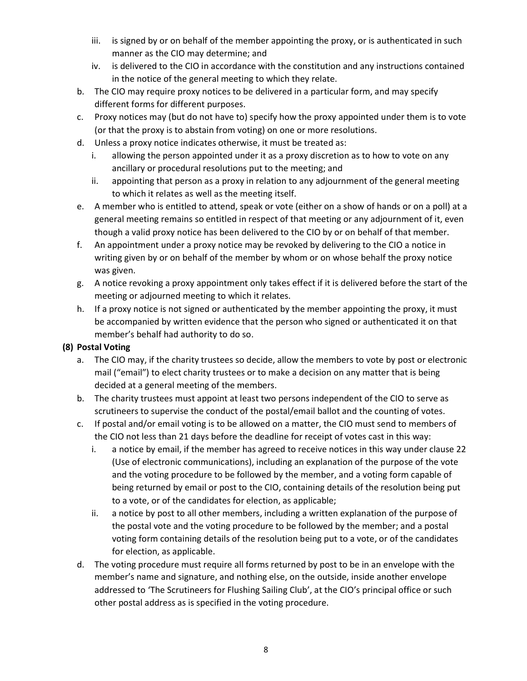- iii. is signed by or on behalf of the member appointing the proxy, or is authenticated in such manner as the CIO may determine; and
- iv. is delivered to the CIO in accordance with the constitution and any instructions contained in the notice of the general meeting to which they relate.
- b. The CIO may require proxy notices to be delivered in a particular form, and may specify different forms for different purposes.
- c. Proxy notices may (but do not have to) specify how the proxy appointed under them is to vote (or that the proxy is to abstain from voting) on one or more resolutions.
- d. Unless a proxy notice indicates otherwise, it must be treated as:
	- i. allowing the person appointed under it as a proxy discretion as to how to vote on any ancillary or procedural resolutions put to the meeting; and
	- ii. appointing that person as a proxy in relation to any adjournment of the general meeting to which it relates as well as the meeting itself.
- e. A member who is entitled to attend, speak or vote (either on a show of hands or on a poll) at a general meeting remains so entitled in respect of that meeting or any adjournment of it, even though a valid proxy notice has been delivered to the CIO by or on behalf of that member.
- f. An appointment under a proxy notice may be revoked by delivering to the CIO a notice in writing given by or on behalf of the member by whom or on whose behalf the proxy notice was given.
- g. A notice revoking a proxy appointment only takes effect if it is delivered before the start of the meeting or adjourned meeting to which it relates.
- h. If a proxy notice is not signed or authenticated by the member appointing the proxy, it must be accompanied by written evidence that the person who signed or authenticated it on that member's behalf had authority to do so.

# (8) Postal Voting

- a. The CIO may, if the charity trustees so decide, allow the members to vote by post or electronic mail ("email") to elect charity trustees or to make a decision on any matter that is being decided at a general meeting of the members.
- b. The charity trustees must appoint at least two persons independent of the CIO to serve as scrutineers to supervise the conduct of the postal/email ballot and the counting of votes.
- c. If postal and/or email voting is to be allowed on a matter, the CIO must send to members of the CIO not less than 21 days before the deadline for receipt of votes cast in this way:
	- i. a notice by email, if the member has agreed to receive notices in this way under clause 22 (Use of electronic communications), including an explanation of the purpose of the vote and the voting procedure to be followed by the member, and a voting form capable of being returned by email or post to the CIO, containing details of the resolution being put to a vote, or of the candidates for election, as applicable;
	- ii. a notice by post to all other members, including a written explanation of the purpose of the postal vote and the voting procedure to be followed by the member; and a postal voting form containing details of the resolution being put to a vote, or of the candidates for election, as applicable.
- d. The voting procedure must require all forms returned by post to be in an envelope with the member's name and signature, and nothing else, on the outside, inside another envelope addressed to 'The Scrutineers for Flushing Sailing Club', at the CIO's principal office or such other postal address as is specified in the voting procedure.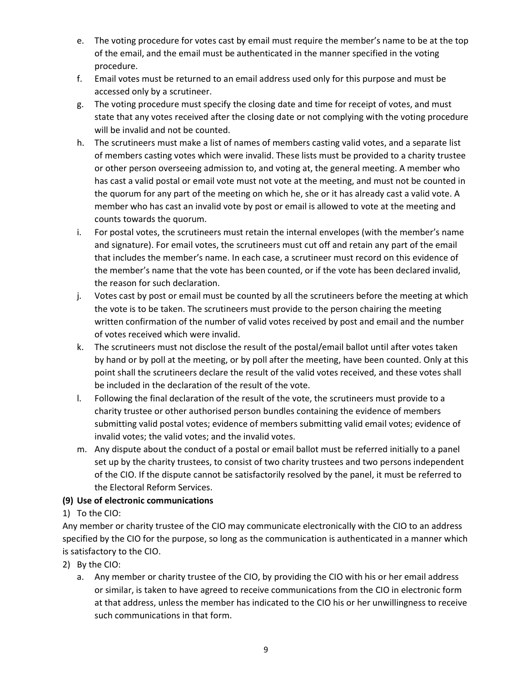- e. The voting procedure for votes cast by email must require the member's name to be at the top of the email, and the email must be authenticated in the manner specified in the voting procedure.
- f. Email votes must be returned to an email address used only for this purpose and must be accessed only by a scrutineer.
- g. The voting procedure must specify the closing date and time for receipt of votes, and must state that any votes received after the closing date or not complying with the voting procedure will be invalid and not be counted.
- h. The scrutineers must make a list of names of members casting valid votes, and a separate list of members casting votes which were invalid. These lists must be provided to a charity trustee or other person overseeing admission to, and voting at, the general meeting. A member who has cast a valid postal or email vote must not vote at the meeting, and must not be counted in the quorum for any part of the meeting on which he, she or it has already cast a valid vote. A member who has cast an invalid vote by post or email is allowed to vote at the meeting and counts towards the quorum.
- i. For postal votes, the scrutineers must retain the internal envelopes (with the member's name and signature). For email votes, the scrutineers must cut off and retain any part of the email that includes the member's name. In each case, a scrutineer must record on this evidence of the member's name that the vote has been counted, or if the vote has been declared invalid, the reason for such declaration.
- j. Votes cast by post or email must be counted by all the scrutineers before the meeting at which the vote is to be taken. The scrutineers must provide to the person chairing the meeting written confirmation of the number of valid votes received by post and email and the number of votes received which were invalid.
- k. The scrutineers must not disclose the result of the postal/email ballot until after votes taken by hand or by poll at the meeting, or by poll after the meeting, have been counted. Only at this point shall the scrutineers declare the result of the valid votes received, and these votes shall be included in the declaration of the result of the vote.
- l. Following the final declaration of the result of the vote, the scrutineers must provide to a charity trustee or other authorised person bundles containing the evidence of members submitting valid postal votes; evidence of members submitting valid email votes; evidence of invalid votes; the valid votes; and the invalid votes.
- m. Any dispute about the conduct of a postal or email ballot must be referred initially to a panel set up by the charity trustees, to consist of two charity trustees and two persons independent of the CIO. If the dispute cannot be satisfactorily resolved by the panel, it must be referred to the Electoral Reform Services.

# (9) Use of electronic communications

# 1) To the CIO:

Any member or charity trustee of the CIO may communicate electronically with the CIO to an address specified by the CIO for the purpose, so long as the communication is authenticated in a manner which is satisfactory to the CIO.

- 2) By the CIO:
	- a. Any member or charity trustee of the CIO, by providing the CIO with his or her email address or similar, is taken to have agreed to receive communications from the CIO in electronic form at that address, unless the member has indicated to the CIO his or her unwillingness to receive such communications in that form.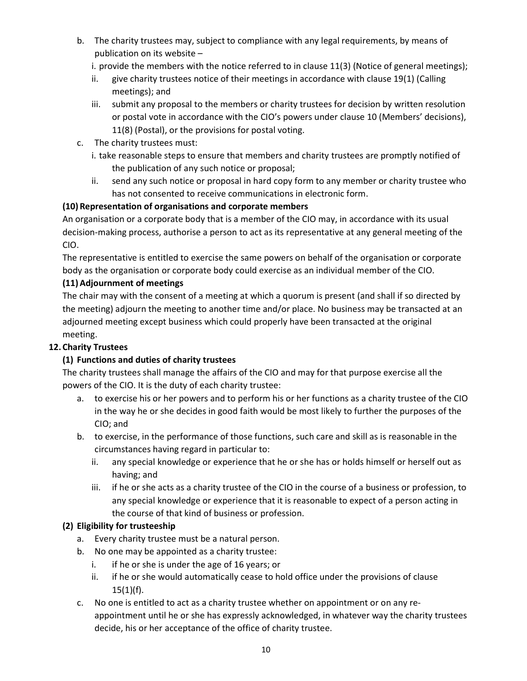- b. The charity trustees may, subject to compliance with any legal requirements, by means of publication on its website –
	- i. provide the members with the notice referred to in clause 11(3) (Notice of general meetings);
	- ii. give charity trustees notice of their meetings in accordance with clause 19(1) (Calling meetings); and
	- iii. submit any proposal to the members or charity trustees for decision by written resolution or postal vote in accordance with the CIO's powers under clause 10 (Members' decisions), 11(8) (Postal), or the provisions for postal voting.
- c. The charity trustees must:
	- i. take reasonable steps to ensure that members and charity trustees are promptly notified of the publication of any such notice or proposal;
	- ii. send any such notice or proposal in hard copy form to any member or charity trustee who has not consented to receive communications in electronic form.

## (10) Representation of organisations and corporate members

An organisation or a corporate body that is a member of the CIO may, in accordance with its usual decision-making process, authorise a person to act as its representative at any general meeting of the CIO.

The representative is entitled to exercise the same powers on behalf of the organisation or corporate body as the organisation or corporate body could exercise as an individual member of the CIO.

## (11) Adjournment of meetings

The chair may with the consent of a meeting at which a quorum is present (and shall if so directed by the meeting) adjourn the meeting to another time and/or place. No business may be transacted at an adjourned meeting except business which could properly have been transacted at the original meeting.

# 12.Charity Trustees

# (1) Functions and duties of charity trustees

The charity trustees shall manage the affairs of the CIO and may for that purpose exercise all the powers of the CIO. It is the duty of each charity trustee:

- a. to exercise his or her powers and to perform his or her functions as a charity trustee of the CIO in the way he or she decides in good faith would be most likely to further the purposes of the CIO; and
- b. to exercise, in the performance of those functions, such care and skill as is reasonable in the circumstances having regard in particular to:
	- ii. any special knowledge or experience that he or she has or holds himself or herself out as having; and
	- iii. if he or she acts as a charity trustee of the CIO in the course of a business or profession, to any special knowledge or experience that it is reasonable to expect of a person acting in the course of that kind of business or profession.

### (2) Eligibility for trusteeship

- a. Every charity trustee must be a natural person.
- b. No one may be appointed as a charity trustee:
	- i. if he or she is under the age of 16 years; or
	- ii. if he or she would automatically cease to hold office under the provisions of clause  $15(1)(f)$ .
- c. No one is entitled to act as a charity trustee whether on appointment or on any reappointment until he or she has expressly acknowledged, in whatever way the charity trustees decide, his or her acceptance of the office of charity trustee.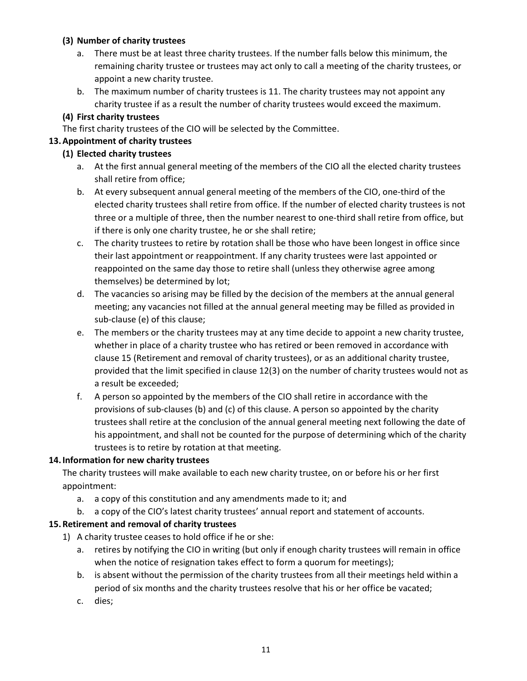### (3) Number of charity trustees

- a. There must be at least three charity trustees. If the number falls below this minimum, the remaining charity trustee or trustees may act only to call a meeting of the charity trustees, or appoint a new charity trustee.
- b. The maximum number of charity trustees is 11. The charity trustees may not appoint any charity trustee if as a result the number of charity trustees would exceed the maximum.

## (4) First charity trustees

The first charity trustees of the CIO will be selected by the Committee.

## 13.Appointment of charity trustees

## (1) Elected charity trustees

- a. At the first annual general meeting of the members of the CIO all the elected charity trustees shall retire from office;
- b. At every subsequent annual general meeting of the members of the CIO, one-third of the elected charity trustees shall retire from office. If the number of elected charity trustees is not three or a multiple of three, then the number nearest to one-third shall retire from office, but if there is only one charity trustee, he or she shall retire;
- c. The charity trustees to retire by rotation shall be those who have been longest in office since their last appointment or reappointment. If any charity trustees were last appointed or reappointed on the same day those to retire shall (unless they otherwise agree among themselves) be determined by lot;
- d. The vacancies so arising may be filled by the decision of the members at the annual general meeting; any vacancies not filled at the annual general meeting may be filled as provided in sub-clause (e) of this clause;
- e. The members or the charity trustees may at any time decide to appoint a new charity trustee, whether in place of a charity trustee who has retired or been removed in accordance with clause 15 (Retirement and removal of charity trustees), or as an additional charity trustee, provided that the limit specified in clause 12(3) on the number of charity trustees would not as a result be exceeded;
- f. A person so appointed by the members of the CIO shall retire in accordance with the provisions of sub-clauses (b) and (c) of this clause. A person so appointed by the charity trustees shall retire at the conclusion of the annual general meeting next following the date of his appointment, and shall not be counted for the purpose of determining which of the charity trustees is to retire by rotation at that meeting.

### 14.Information for new charity trustees

The charity trustees will make available to each new charity trustee, on or before his or her first appointment:

- a. a copy of this constitution and any amendments made to it; and
- b. a copy of the CIO's latest charity trustees' annual report and statement of accounts.

### 15.Retirement and removal of charity trustees

- 1) A charity trustee ceases to hold office if he or she:
	- a. retires by notifying the CIO in writing (but only if enough charity trustees will remain in office when the notice of resignation takes effect to form a quorum for meetings);
	- b. is absent without the permission of the charity trustees from all their meetings held within a period of six months and the charity trustees resolve that his or her office be vacated;
	- c. dies;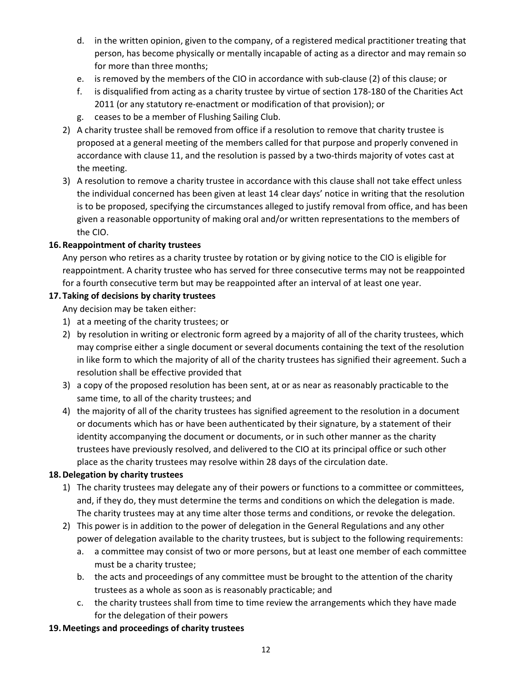- d. in the written opinion, given to the company, of a registered medical practitioner treating that person, has become physically or mentally incapable of acting as a director and may remain so for more than three months;
- e. is removed by the members of the CIO in accordance with sub-clause (2) of this clause; or
- f. is disqualified from acting as a charity trustee by virtue of section 178-180 of the Charities Act 2011 (or any statutory re-enactment or modification of that provision); or
- g. ceases to be a member of Flushing Sailing Club.
- 2) A charity trustee shall be removed from office if a resolution to remove that charity trustee is proposed at a general meeting of the members called for that purpose and properly convened in accordance with clause 11, and the resolution is passed by a two-thirds majority of votes cast at the meeting.
- 3) A resolution to remove a charity trustee in accordance with this clause shall not take effect unless the individual concerned has been given at least 14 clear days' notice in writing that the resolution is to be proposed, specifying the circumstances alleged to justify removal from office, and has been given a reasonable opportunity of making oral and/or written representations to the members of the CIO.

### 16.Reappointment of charity trustees

Any person who retires as a charity trustee by rotation or by giving notice to the CIO is eligible for reappointment. A charity trustee who has served for three consecutive terms may not be reappointed for a fourth consecutive term but may be reappointed after an interval of at least one year.

### 17.Taking of decisions by charity trustees

Any decision may be taken either:

- 1) at a meeting of the charity trustees; or
- 2) by resolution in writing or electronic form agreed by a majority of all of the charity trustees, which may comprise either a single document or several documents containing the text of the resolution in like form to which the majority of all of the charity trustees has signified their agreement. Such a resolution shall be effective provided that
- 3) a copy of the proposed resolution has been sent, at or as near as reasonably practicable to the same time, to all of the charity trustees; and
- 4) the majority of all of the charity trustees has signified agreement to the resolution in a document or documents which has or have been authenticated by their signature, by a statement of their identity accompanying the document or documents, or in such other manner as the charity trustees have previously resolved, and delivered to the CIO at its principal office or such other place as the charity trustees may resolve within 28 days of the circulation date.

#### 18.Delegation by charity trustees

- 1) The charity trustees may delegate any of their powers or functions to a committee or committees, and, if they do, they must determine the terms and conditions on which the delegation is made. The charity trustees may at any time alter those terms and conditions, or revoke the delegation.
- 2) This power is in addition to the power of delegation in the General Regulations and any other power of delegation available to the charity trustees, but is subject to the following requirements:
	- a. a committee may consist of two or more persons, but at least one member of each committee must be a charity trustee;
	- b. the acts and proceedings of any committee must be brought to the attention of the charity trustees as a whole as soon as is reasonably practicable; and
	- c. the charity trustees shall from time to time review the arrangements which they have made for the delegation of their powers

#### 19.Meetings and proceedings of charity trustees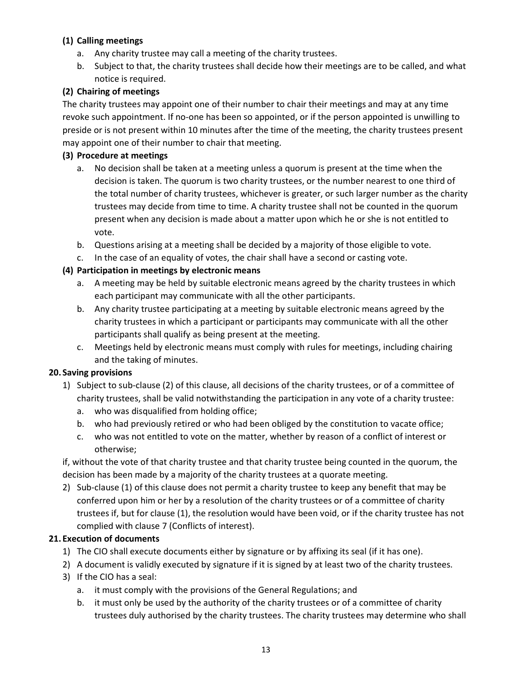## (1) Calling meetings

- a. Any charity trustee may call a meeting of the charity trustees.
- b. Subject to that, the charity trustees shall decide how their meetings are to be called, and what notice is required.

## (2) Chairing of meetings

The charity trustees may appoint one of their number to chair their meetings and may at any time revoke such appointment. If no-one has been so appointed, or if the person appointed is unwilling to preside or is not present within 10 minutes after the time of the meeting, the charity trustees present may appoint one of their number to chair that meeting.

### (3) Procedure at meetings

- a. No decision shall be taken at a meeting unless a quorum is present at the time when the decision is taken. The quorum is two charity trustees, or the number nearest to one third of the total number of charity trustees, whichever is greater, or such larger number as the charity trustees may decide from time to time. A charity trustee shall not be counted in the quorum present when any decision is made about a matter upon which he or she is not entitled to vote.
- b. Questions arising at a meeting shall be decided by a majority of those eligible to vote.
- c. In the case of an equality of votes, the chair shall have a second or casting vote.

# (4) Participation in meetings by electronic means

- a. A meeting may be held by suitable electronic means agreed by the charity trustees in which each participant may communicate with all the other participants.
- b. Any charity trustee participating at a meeting by suitable electronic means agreed by the charity trustees in which a participant or participants may communicate with all the other participants shall qualify as being present at the meeting.
- c. Meetings held by electronic means must comply with rules for meetings, including chairing and the taking of minutes.

### 20. Saving provisions

- 1) Subject to sub-clause (2) of this clause, all decisions of the charity trustees, or of a committee of charity trustees, shall be valid notwithstanding the participation in any vote of a charity trustee:
	- a. who was disqualified from holding office;
	- b. who had previously retired or who had been obliged by the constitution to vacate office;
	- c. who was not entitled to vote on the matter, whether by reason of a conflict of interest or otherwise;

if, without the vote of that charity trustee and that charity trustee being counted in the quorum, the decision has been made by a majority of the charity trustees at a quorate meeting.

2) Sub-clause (1) of this clause does not permit a charity trustee to keep any benefit that may be conferred upon him or her by a resolution of the charity trustees or of a committee of charity trustees if, but for clause (1), the resolution would have been void, or if the charity trustee has not complied with clause 7 (Conflicts of interest).

# 21. Execution of documents

- 1) The CIO shall execute documents either by signature or by affixing its seal (if it has one).
- 2) A document is validly executed by signature if it is signed by at least two of the charity trustees.
- 3) If the CIO has a seal:
	- a. it must comply with the provisions of the General Regulations; and
	- b. it must only be used by the authority of the charity trustees or of a committee of charity trustees duly authorised by the charity trustees. The charity trustees may determine who shall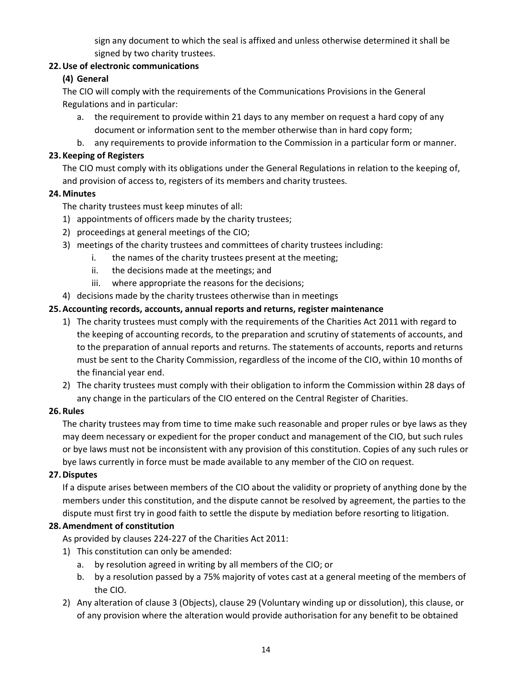sign any document to which the seal is affixed and unless otherwise determined it shall be signed by two charity trustees.

## 22.Use of electronic communications

## (4) General

The CIO will comply with the requirements of the Communications Provisions in the General Regulations and in particular:

- a. the requirement to provide within 21 days to any member on request a hard copy of any document or information sent to the member otherwise than in hard copy form;
- b. any requirements to provide information to the Commission in a particular form or manner.

### 23.Keeping of Registers

The CIO must comply with its obligations under the General Regulations in relation to the keeping of, and provision of access to, registers of its members and charity trustees.

### 24.Minutes

The charity trustees must keep minutes of all:

- 1) appointments of officers made by the charity trustees;
- 2) proceedings at general meetings of the CIO;
- 3) meetings of the charity trustees and committees of charity trustees including:
	- i. the names of the charity trustees present at the meeting;
	- ii. the decisions made at the meetings; and
	- iii. where appropriate the reasons for the decisions;
- 4) decisions made by the charity trustees otherwise than in meetings

### 25.Accounting records, accounts, annual reports and returns, register maintenance

- 1) The charity trustees must comply with the requirements of the Charities Act 2011 with regard to the keeping of accounting records, to the preparation and scrutiny of statements of accounts, and to the preparation of annual reports and returns. The statements of accounts, reports and returns must be sent to the Charity Commission, regardless of the income of the CIO, within 10 months of the financial year end.
- 2) The charity trustees must comply with their obligation to inform the Commission within 28 days of any change in the particulars of the CIO entered on the Central Register of Charities.

### 26.Rules

The charity trustees may from time to time make such reasonable and proper rules or bye laws as they may deem necessary or expedient for the proper conduct and management of the CIO, but such rules or bye laws must not be inconsistent with any provision of this constitution. Copies of any such rules or bye laws currently in force must be made available to any member of the CIO on request.

### 27.Disputes

If a dispute arises between members of the CIO about the validity or propriety of anything done by the members under this constitution, and the dispute cannot be resolved by agreement, the parties to the dispute must first try in good faith to settle the dispute by mediation before resorting to litigation.

### 28.Amendment of constitution

As provided by clauses 224-227 of the Charities Act 2011:

- 1) This constitution can only be amended:
	- a. by resolution agreed in writing by all members of the CIO; or
	- b. by a resolution passed by a 75% majority of votes cast at a general meeting of the members of the CIO.
- 2) Any alteration of clause 3 (Objects), clause 29 (Voluntary winding up or dissolution), this clause, or of any provision where the alteration would provide authorisation for any benefit to be obtained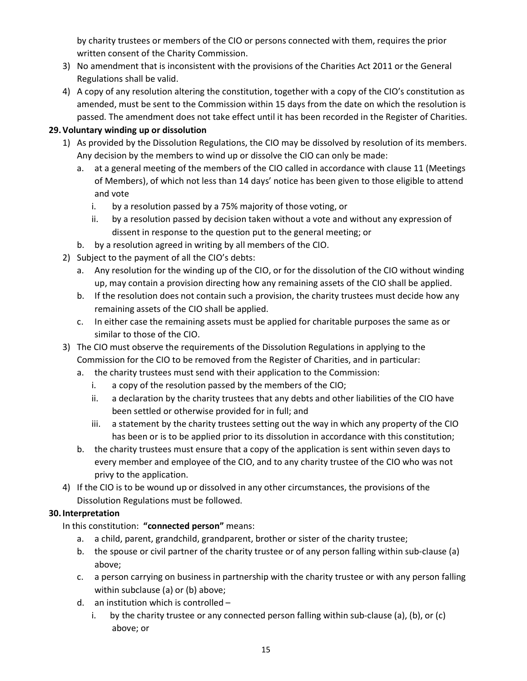by charity trustees or members of the CIO or persons connected with them, requires the prior written consent of the Charity Commission.

- 3) No amendment that is inconsistent with the provisions of the Charities Act 2011 or the General Regulations shall be valid.
- 4) A copy of any resolution altering the constitution, together with a copy of the CIO's constitution as amended, must be sent to the Commission within 15 days from the date on which the resolution is passed. The amendment does not take effect until it has been recorded in the Register of Charities.

## 29.Voluntary winding up or dissolution

- 1) As provided by the Dissolution Regulations, the CIO may be dissolved by resolution of its members. Any decision by the members to wind up or dissolve the CIO can only be made:
	- a. at a general meeting of the members of the CIO called in accordance with clause 11 (Meetings of Members), of which not less than 14 days' notice has been given to those eligible to attend and vote
		- i. by a resolution passed by a 75% majority of those voting, or
		- ii. by a resolution passed by decision taken without a vote and without any expression of dissent in response to the question put to the general meeting; or
	- b. by a resolution agreed in writing by all members of the CIO.
- 2) Subject to the payment of all the CIO's debts:
	- a. Any resolution for the winding up of the CIO, or for the dissolution of the CIO without winding up, may contain a provision directing how any remaining assets of the CIO shall be applied.
	- b. If the resolution does not contain such a provision, the charity trustees must decide how any remaining assets of the CIO shall be applied.
	- c. In either case the remaining assets must be applied for charitable purposes the same as or similar to those of the CIO.
- 3) The CIO must observe the requirements of the Dissolution Regulations in applying to the Commission for the CIO to be removed from the Register of Charities, and in particular:
	- a. the charity trustees must send with their application to the Commission:
		- i. a copy of the resolution passed by the members of the CIO;
		- ii. a declaration by the charity trustees that any debts and other liabilities of the CIO have been settled or otherwise provided for in full; and
		- iii. a statement by the charity trustees setting out the way in which any property of the CIO has been or is to be applied prior to its dissolution in accordance with this constitution;
	- b. the charity trustees must ensure that a copy of the application is sent within seven days to every member and employee of the CIO, and to any charity trustee of the CIO who was not privy to the application.
- 4) If the CIO is to be wound up or dissolved in any other circumstances, the provisions of the Dissolution Regulations must be followed.

# 30.Interpretation

In this constitution: "connected person" means:

- a. a child, parent, grandchild, grandparent, brother or sister of the charity trustee;
- b. the spouse or civil partner of the charity trustee or of any person falling within sub-clause (a) above;
- c. a person carrying on business in partnership with the charity trustee or with any person falling within subclause (a) or (b) above;
- d. an institution which is controlled
	- i. by the charity trustee or any connected person falling within sub-clause (a), (b), or (c) above; or